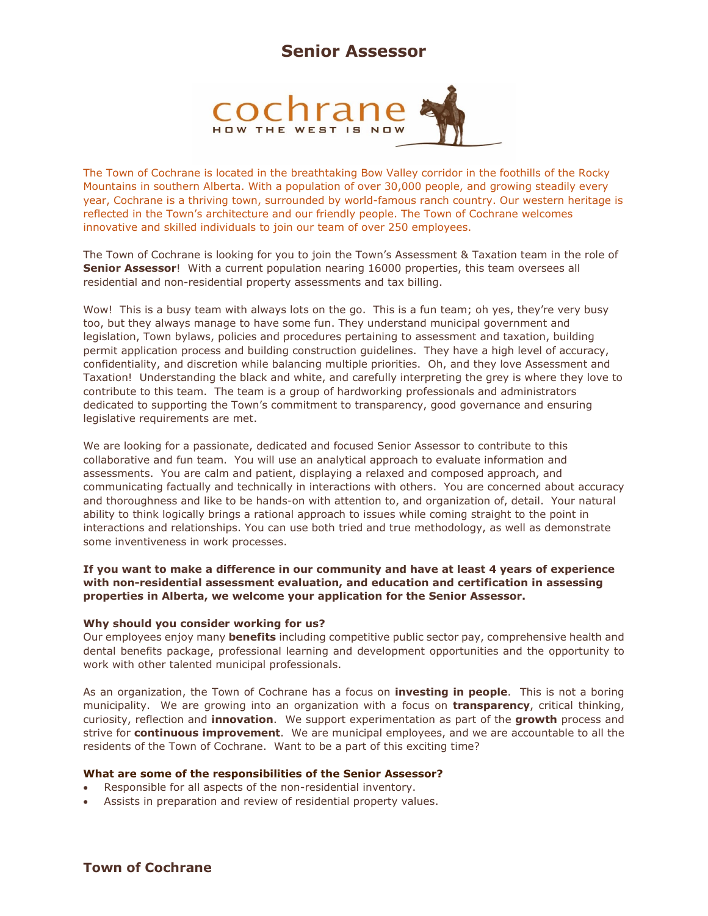## **Senior Assessor**



The Town of Cochrane is located in the breathtaking Bow Valley corridor in the foothills of the Rocky Mountains in southern Alberta. With a population of over 30,000 people, and growing steadily every year, Cochrane is a thriving town, surrounded by world-famous ranch country. Our western heritage is reflected in the Town's architecture and our friendly people. The Town of Cochrane welcomes innovative and skilled individuals to join our team of over 250 employees.

The Town of Cochrane is looking for you to join the Town's Assessment & Taxation team in the role of **Senior Assessor**! With a current population nearing 16000 properties, this team oversees all residential and non-residential property assessments and tax billing.

Wow! This is a busy team with always lots on the go. This is a fun team; oh yes, they're very busy too, but they always manage to have some fun. They understand municipal government and legislation, Town bylaws, policies and procedures pertaining to assessment and taxation, building permit application process and building construction guidelines. They have a high level of accuracy, confidentiality, and discretion while balancing multiple priorities. Oh, and they love Assessment and Taxation! Understanding the black and white, and carefully interpreting the grey is where they love to contribute to this team. The team is a group of hardworking professionals and administrators dedicated to supporting the Town's commitment to transparency, good governance and ensuring legislative requirements are met.

We are looking for a passionate, dedicated and focused Senior Assessor to contribute to this collaborative and fun team. You will use an analytical approach to evaluate information and assessments. You are calm and patient, displaying a relaxed and composed approach, and communicating factually and technically in interactions with others. You are concerned about accuracy and thoroughness and like to be hands-on with attention to, and organization of, detail. Your natural ability to think logically brings a rational approach to issues while coming straight to the point in interactions and relationships. You can use both tried and true methodology, as well as demonstrate some inventiveness in work processes.

**If you want to make a difference in our community and have at least 4 years of experience with non-residential assessment evaluation, and education and certification in assessing properties in Alberta, we welcome your application for the Senior Assessor.** 

### **Why should you consider working for us?**

Our employees enjoy many **benefits** including competitive public sector pay, comprehensive health and dental benefits package, professional learning and development opportunities and the opportunity to work with other talented municipal professionals.

As an organization, the Town of Cochrane has a focus on **investing in people**. This is not a boring municipality. We are growing into an organization with a focus on **transparency**, critical thinking, curiosity, reflection and **innovation**. We support experimentation as part of the **growth** process and strive for **continuous improvement**. We are municipal employees, and we are accountable to all the residents of the Town of Cochrane. Want to be a part of this exciting time?

### **What are some of the responsibilities of the Senior Assessor?**

- Responsible for all aspects of the non-residential inventory.
- Assists in preparation and review of residential property values.